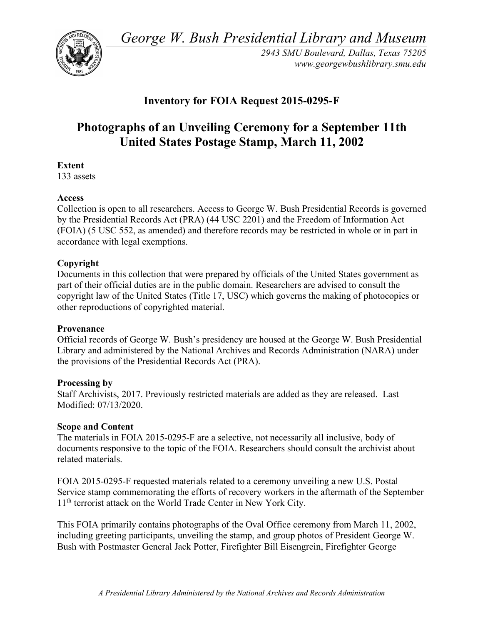*George W. Bush Presidential Library and Museum* 



*2943 SMU Boulevard, Dallas, Texas 75205 <www.georgewbushlibrary.smu.edu>* 

# **Inventory for FOIA Request 2015-0295-F**

# **Photographs of an Unveiling Ceremony for a September 11th United States Postage Stamp, March 11, 2002**

# **Extent**

133 assets

# **Access**

 Collection is open to all researchers. Access to George W. Bush Presidential Records is governed by the Presidential Records Act (PRA) (44 USC 2201) and the Freedom of Information Act (FOIA) (5 USC 552, as amended) and therefore records may be restricted in whole or in part in accordance with legal exemptions.

# **Copyright**

 Documents in this collection that were prepared by officials of the United States government as part of their official duties are in the public domain. Researchers are advised to consult the copyright law of the United States (Title 17, USC) which governs the making of photocopies or other reproductions of copyrighted material.

#### **Provenance**

 Official records of George W. Bush's presidency are housed at the George W. Bush Presidential Library and administered by the National Archives and Records Administration (NARA) under the provisions of the Presidential Records Act (PRA).

#### **Processing by**

 Staff Archivists, 2017. Previously restricted materials are added as they are released. Last Modified: 07/13/2020.

#### **Scope and Content**

 The materials in FOIA 2015-0295-F are a selective, not necessarily all inclusive, body of documents responsive to the topic of the FOIA. Researchers should consult the archivist about related materials.

 FOIA 2015-0295-F requested materials related to a ceremony unveiling a new U.S. Postal Service stamp commemorating the efforts of recovery workers in the aftermath of the September 11<sup>th</sup> terrorist attack on the World Trade Center in New York City.

 This FOIA primarily contains photographs of the Oval Office ceremony from March 11, 2002, including greeting participants, unveiling the stamp, and group photos of President George W. Bush with Postmaster General Jack Potter, Firefighter Bill Eisengrein, Firefighter George